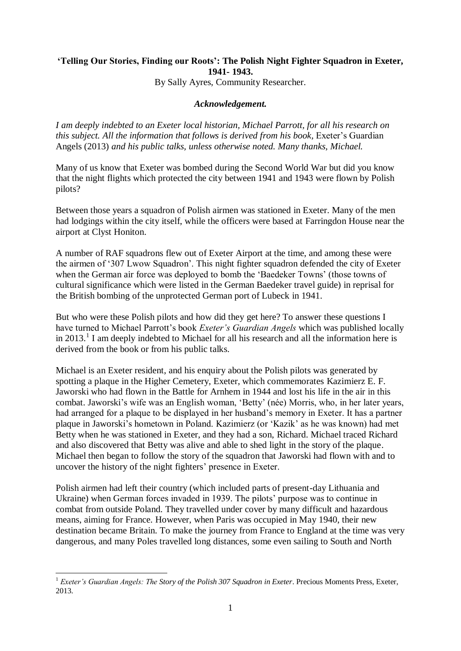## **'Telling Our Stories, Finding our Roots': The Polish Night Fighter Squadron in Exeter, 1941- 1943.**

By Sally Ayres, Community Researcher.

## *Acknowledgement.*

*I am deeply indebted to an Exeter local historian, Michael Parrott, for all his research on this subject. All the information that follows is derived from his book,* Exeter's Guardian Angels (2013) *and his public talks, unless otherwise noted. Many thanks, Michael.*

Many of us know that Exeter was bombed during the Second World War but did you know that the night flights which protected the city between 1941 and 1943 were flown by Polish pilots?

Between those years a squadron of Polish airmen was stationed in Exeter. Many of the men had lodgings within the city itself, while the officers were based at Farringdon House near the airport at Clyst Honiton.

A number of RAF squadrons flew out of Exeter Airport at the time, and among these were the airmen of '307 Lwow Squadron'. This night fighter squadron defended the city of Exeter when the German air force was deployed to bomb the 'Baedeker Towns' (those towns of cultural significance which were listed in the German Baedeker travel guide) in reprisal for the British bombing of the unprotected German port of Lubeck in 1941.

But who were these Polish pilots and how did they get here? To answer these questions I have turned to Michael Parrott's book *Exeter's Guardian Angels* which was published locally in 2013.<sup>1</sup> I am deeply indebted to Michael for all his research and all the information here is derived from the book or from his public talks.

Michael is an Exeter resident, and his enquiry about the Polish pilots was generated by spotting a plaque in the Higher Cemetery, Exeter, which commemorates Kazimierz E. F. Jaworski who had flown in the Battle for Arnhem in 1944 and lost his life in the air in this combat. Jaworski's wife was an English woman, 'Betty' (née) Morris, who, in her later years, had arranged for a plaque to be displayed in her husband's memory in Exeter. It has a partner plaque in Jaworski's hometown in Poland. Kazimierz (or 'Kazik' as he was known) had met Betty when he was stationed in Exeter, and they had a son, Richard. Michael traced Richard and also discovered that Betty was alive and able to shed light in the story of the plaque. Michael then began to follow the story of the squadron that Jaworski had flown with and to uncover the history of the night fighters' presence in Exeter.

Polish airmen had left their country (which included parts of present-day Lithuania and Ukraine) when German forces invaded in 1939. The pilots' purpose was to continue in combat from outside Poland. They travelled under cover by many difficult and hazardous means, aiming for France. However, when Paris was occupied in May 1940, their new destination became Britain. To make the journey from France to England at the time was very dangerous, and many Poles travelled long distances, some even sailing to South and North

1

<sup>&</sup>lt;sup>1</sup> *Exeter's Guardian Angels: The Story of the Polish 307 Squadron in Exeter*. Precious Moments Press, Exeter, 2013.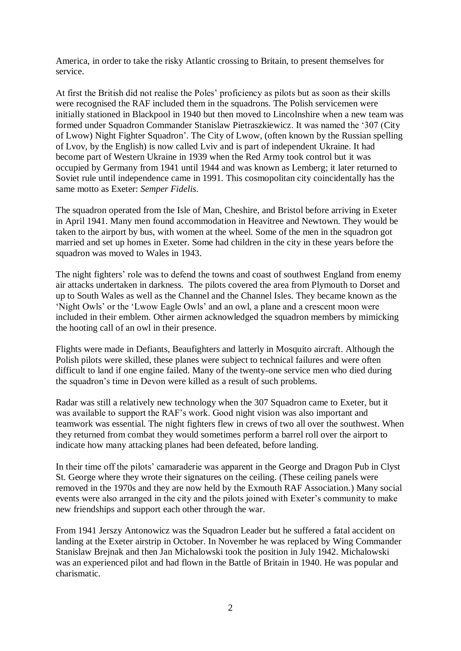America, in order to take the risky Atlantic crossing to Britain, to present themselves for service.

At first the British did not realise the Poles' proficiency as pilots but as soon as their skills were recognised the RAF included them in the squadrons. The Polish servicemen were initially stationed in Blackpool in 1940 but then moved to Lincolnshire when a new team was formed under Squadron Commander Stanislaw Pietraszkiewicz. It was named the '307 (City of Lwow) Night Fighter Squadron'. The City of Lwow, (often known by the Russian spelling of Lvov, by the English) is now called Lviv and is part of independent Ukraine. It had become part of Western Ukraine in 1939 when the Red Army took control but it was occupied by Germany from 1941 until 1944 and was known as Lemberg; it later returned to Soviet rule until independence came in 1991. This cosmopolitan city coincidentally has the same motto as Exeter: *Semper Fidelis*.

The squadron operated from the Isle of Man, Cheshire, and Bristol before arriving in Exeter in April 1941. Many men found accommodation in Heavitree and Newtown. They would be taken to the airport by bus, with women at the wheel. Some of the men in the squadron got married and set up homes in Exeter. Some had children in the city in these years before the squadron was moved to Wales in 1943.

The night fighters' role was to defend the towns and coast of southwest England from enemy air attacks undertaken in darkness. The pilots covered the area from Plymouth to Dorset and up to South Wales as well as the Channel and the Channel Isles. They became known as the 'Night Owls' or the 'Lwow Eagle Owls' and an owl, a plane and a crescent moon were included in their emblem. Other airmen acknowledged the squadron members by mimicking the hooting call of an owl in their presence.

Flights were made in Defiants, Beaufighters and latterly in Mosquito aircraft. Although the Polish pilots were skilled, these planes were subject to technical failures and were often difficult to land if one engine failed. Many of the twenty-one service men who died during the squadron's time in Devon were killed as a result of such problems.

Radar was still a relatively new technology when the 307 Squadron came to Exeter, but it was available to support the RAF's work. Good night vision was also important and teamwork was essential. The night fighters flew in crews of two all over the southwest. When they returned from combat they would sometimes perform a barrel roll over the airport to indicate how many attacking planes had been defeated, before landing.

In their time off the pilots' camaraderie was apparent in the George and Dragon Pub in Clyst St. George where they wrote their signatures on the ceiling. (These ceiling panels were removed in the 1970s and they are now held by the Exmouth RAF Association.) Many social events were also arranged in the city and the pilots joined with Exeter's community to make new friendships and support each other through the war.

From 1941 Jerszy Antonowicz was the Squadron Leader but he suffered a fatal accident on landing at the Exeter airstrip in October. In November he was replaced by Wing Commander Stanislaw Brejnak and then Jan Michalowski took the position in July 1942. Michalowski was an experienced pilot and had flown in the Battle of Britain in 1940. He was popular and charismatic.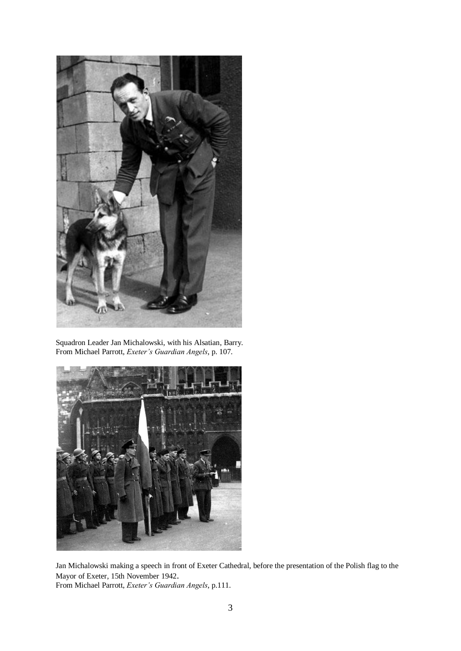

Squadron Leader Jan Michalowski, with his Alsatian, Barry. From Michael Parrott, *Exeter's Guardian Angels*, p. 107.



Jan Michalowski making a speech in front of Exeter Cathedral, before the presentation of the Polish flag to the Mayor of Exeter, 15th November 1942. From Michael Parrott, *Exeter's Guardian Angels*, p.111.

3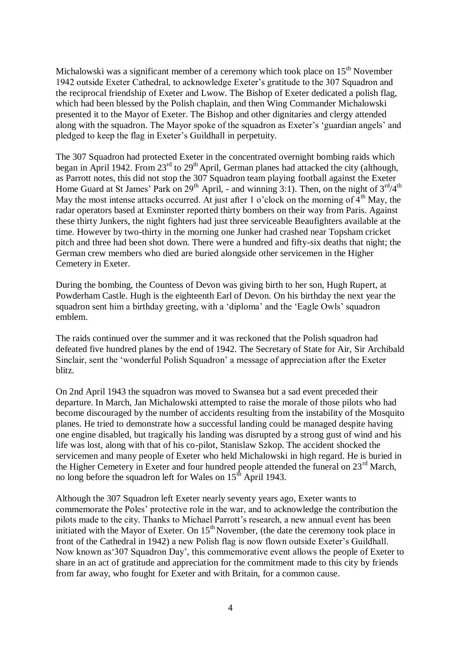Michalowski was a significant member of a ceremony which took place on  $15<sup>th</sup>$  November 1942 outside Exeter Cathedral, to acknowledge Exeter's gratitude to the 307 Squadron and the reciprocal friendship of Exeter and Lwow. The Bishop of Exeter dedicated a polish flag, which had been blessed by the Polish chaplain, and then Wing Commander Michalowski presented it to the Mayor of Exeter. The Bishop and other dignitaries and clergy attended along with the squadron. The Mayor spoke of the squadron as Exeter's 'guardian angels' and pledged to keep the flag in Exeter's Guildhall in perpetuity.

The 307 Squadron had protected Exeter in the concentrated overnight bombing raids which began in April 1942. From  $23^{\text{rd}}$  to  $29^{\text{th}}$  April, German planes had attacked the city (although, as Parrott notes, this did not stop the 307 Squadron team playing football against the Exeter Home Guard at St James' Park on  $29^{th}$  April, - and winning 3:1). Then, on the night of  $3^{rd}/4^{th}$ May the most intense attacks occurred. At just after 1 o'clock on the morning of  $\tilde{4}^{th}$  May, the radar operators based at Exminster reported thirty bombers on their way from Paris. Against these thirty Junkers, the night fighters had just three serviceable Beaufighters available at the time. However by two-thirty in the morning one Junker had crashed near Topsham cricket pitch and three had been shot down. There were a hundred and fifty-six deaths that night; the German crew members who died are buried alongside other servicemen in the Higher Cemetery in Exeter.

During the bombing, the Countess of Devon was giving birth to her son, Hugh Rupert, at Powderham Castle. Hugh is the eighteenth Earl of Devon. On his birthday the next year the squadron sent him a birthday greeting, with a 'diploma' and the 'Eagle Owls' squadron emblem.

The raids continued over the summer and it was reckoned that the Polish squadron had defeated five hundred planes by the end of 1942. The Secretary of State for Air, Sir Archibald Sinclair, sent the 'wonderful Polish Squadron' a message of appreciation after the Exeter blitz.

On 2nd April 1943 the squadron was moved to Swansea but a sad event preceded their departure. In March, Jan Michalowski attempted to raise the morale of those pilots who had become discouraged by the number of accidents resulting from the instability of the Mosquito planes. He tried to demonstrate how a successful landing could be managed despite having one engine disabled, but tragically his landing was disrupted by a strong gust of wind and his life was lost, along with that of his co-pilot, Stanislaw Szkop. The accident shocked the servicemen and many people of Exeter who held Michalowski in high regard. He is buried in the Higher Cemetery in Exeter and four hundred people attended the funeral on  $23^{\text{rd}}$  March, no long before the squadron left for Wales on  $15<sup>th</sup>$  April 1943.

Although the 307 Squadron left Exeter nearly seventy years ago, Exeter wants to commemorate the Poles' protective role in the war, and to acknowledge the contribution the pilots made to the city. Thanks to Michael Parrott's research, a new annual event has been initiated with the Mayor of Exeter. On  $15<sup>th</sup>$  November, (the date the ceremony took place in front of the Cathedral in 1942) a new Polish flag is now flown outside Exeter's Guildhall. Now known as'307 Squadron Day', this commemorative event allows the people of Exeter to share in an act of gratitude and appreciation for the commitment made to this city by friends from far away, who fought for Exeter and with Britain, for a common cause.